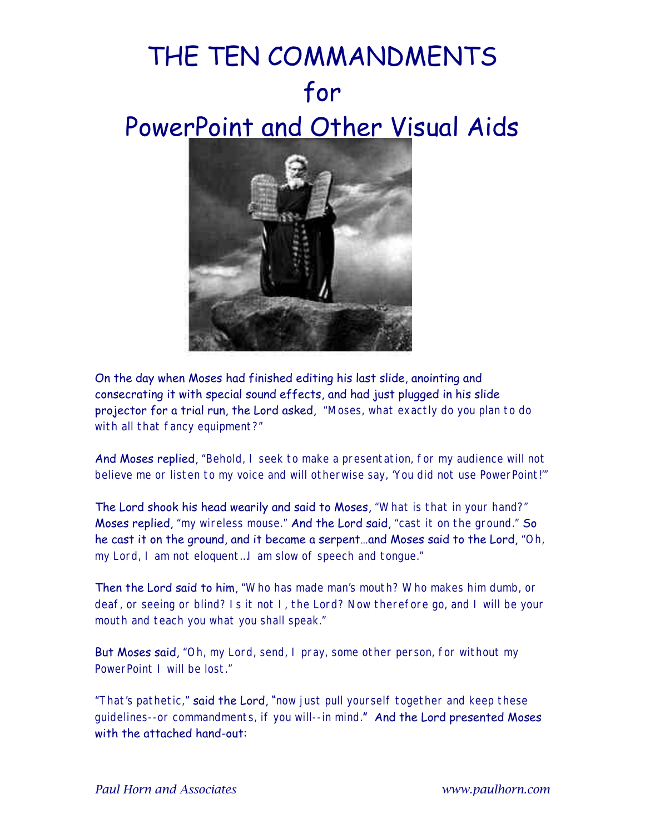## THE TEN COMMANDMENTS for PowerPoint and Other Visual Aids



On the day when Moses had finished editing his last slide, anointing and consecrating it with special sound effects, and had just plugged in his slide projector for a trial run, the Lord asked, *"Moses, what exactly do you plan to do with all that fancy equipment?"*

And Moses replied, *"Behold, I seek to make a presentation, for my audience will not believe me or listen to my voice and will otherwise say, 'You did not use PowerPoint!'"*

The Lord shook his head wearily and said to Moses, *"What is that in your hand?"* Moses replied, *"my wireless mouse."* And the Lord said, *"cast it on the ground."* So he cast it on the ground, and it became a serpent…and Moses said to the Lord, *"Oh, my Lord, I am not eloquent…I am slow of speech and tongue."*

Then the Lord said to him, *"Who has made man's mouth? Who makes him dumb, or deaf, or seeing or blind? Is it not I, the Lord? Now therefore go, and I will be your mouth and teach you what you shall speak."*

But Moses said, *"Oh, my Lord, send, I pray, some other person, for without my PowerPoint I will be lost."*

*"That's pathetic,"* said the Lord, "*now just pull yourself together and keep these guidelines--or commandments, if you will--in mind.*" And the Lord presented Moses with the attached hand-out: